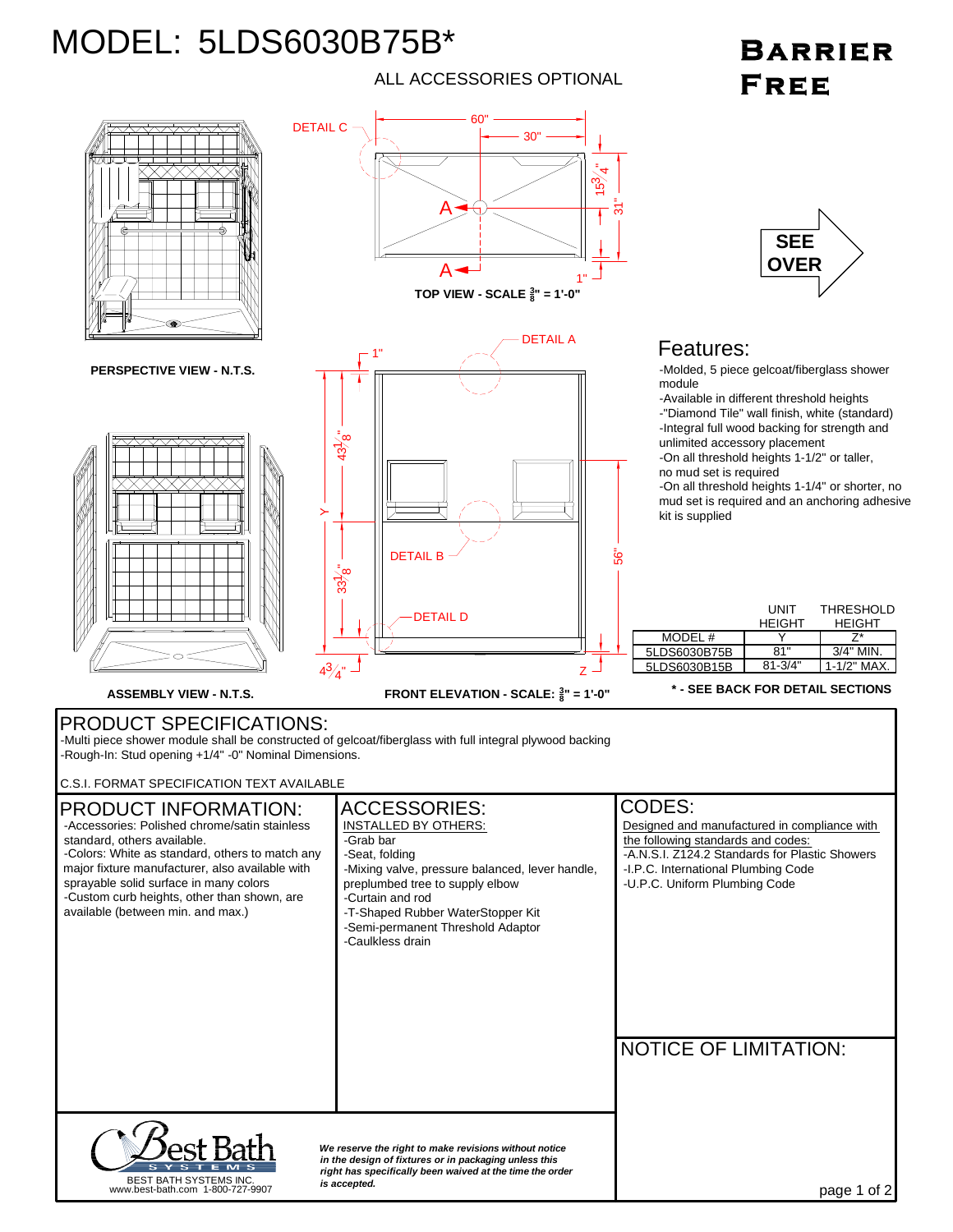## MODEL: 5LDS6030B75B\*

## ALL ACCESSORIES OPTIONAL

## **BARRIER** FREE